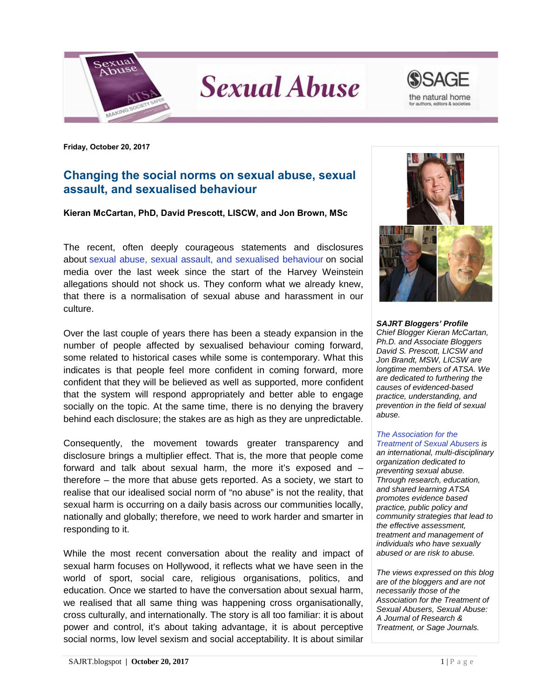

**Sexual Abuse** 



**Friday, October 20, 2017**

## **Changing the social norms on sexual abuse, sexual assault, and sexualised behaviour**

## **Kieran McCartan, PhD, David Prescott, LISCW, and Jon Brown, MSc**

The recent, often deeply courageous statements and disclosures about [sexual abuse, sexual assault, and sexualised behaviour](https://www.blogger.com/null) on social media over the last week since the start of the Harvey Weinstein allegations should not shock us. They conform what we already knew, that there is a normalisation of sexual abuse and harassment in our culture.

Over the last couple of years there has been a steady expansion in the number of people affected by sexualised behaviour coming forward, some related to historical cases while some is contemporary. What this indicates is that people feel more confident in coming forward, more confident that they will be believed as well as supported, more confident that the system will respond appropriately and better able to engage socially on the topic. At the same time, there is no denying the bravery behind each disclosure; the stakes are as high as they are unpredictable.

Consequently, the movement towards greater transparency and disclosure brings a multiplier effect. That is, the more that people come forward and talk about sexual harm, the more it's exposed and – therefore – the more that abuse gets reported. As a society, we start to realise that our idealised social norm of "no abuse" is not the reality, that sexual harm is occurring on a daily basis across our communities locally, nationally and globally; therefore, we need to work harder and smarter in responding to it.

While the most recent conversation about the reality and impact of sexual harm focuses on Hollywood, it reflects what we have seen in the world of sport, social care, religious organisations, politics, and education. Once we started to have the conversation about sexual harm, we realised that all same thing was happening cross organisationally, cross culturally, and internationally. The story is all too familiar: it is about power and control, it's about taking advantage, it is about perceptive social norms, low level sexism and social acceptability. It is about similar



*SAJRT Bloggers' Profile Chief Blogger Kieran McCartan, Ph.D. and Associate Bloggers David S. Prescott, LICSW and Jon Brandt, MSW, LICSW are longtime members of ATSA. We are dedicated to furthering the causes of evidenced-based practice, understanding, and prevention in the field of sexual abuse.*

## *[The Association for the](http://atsa.com/)*

*[Treatment of Sexual Abusers](http://atsa.com/) is an international, multi-disciplinary organization dedicated to preventing sexual abuse. Through research, education, and shared learning ATSA promotes evidence based practice, public policy and community strategies that lead to the effective assessment, treatment and management of individuals who have sexually abused or are risk to abuse.* 

*The views expressed on this blog are of the bloggers and are not necessarily those of the Association for the Treatment of Sexual Abusers, Sexual Abuse: A Journal of Research & Treatment, or Sage Journals.*